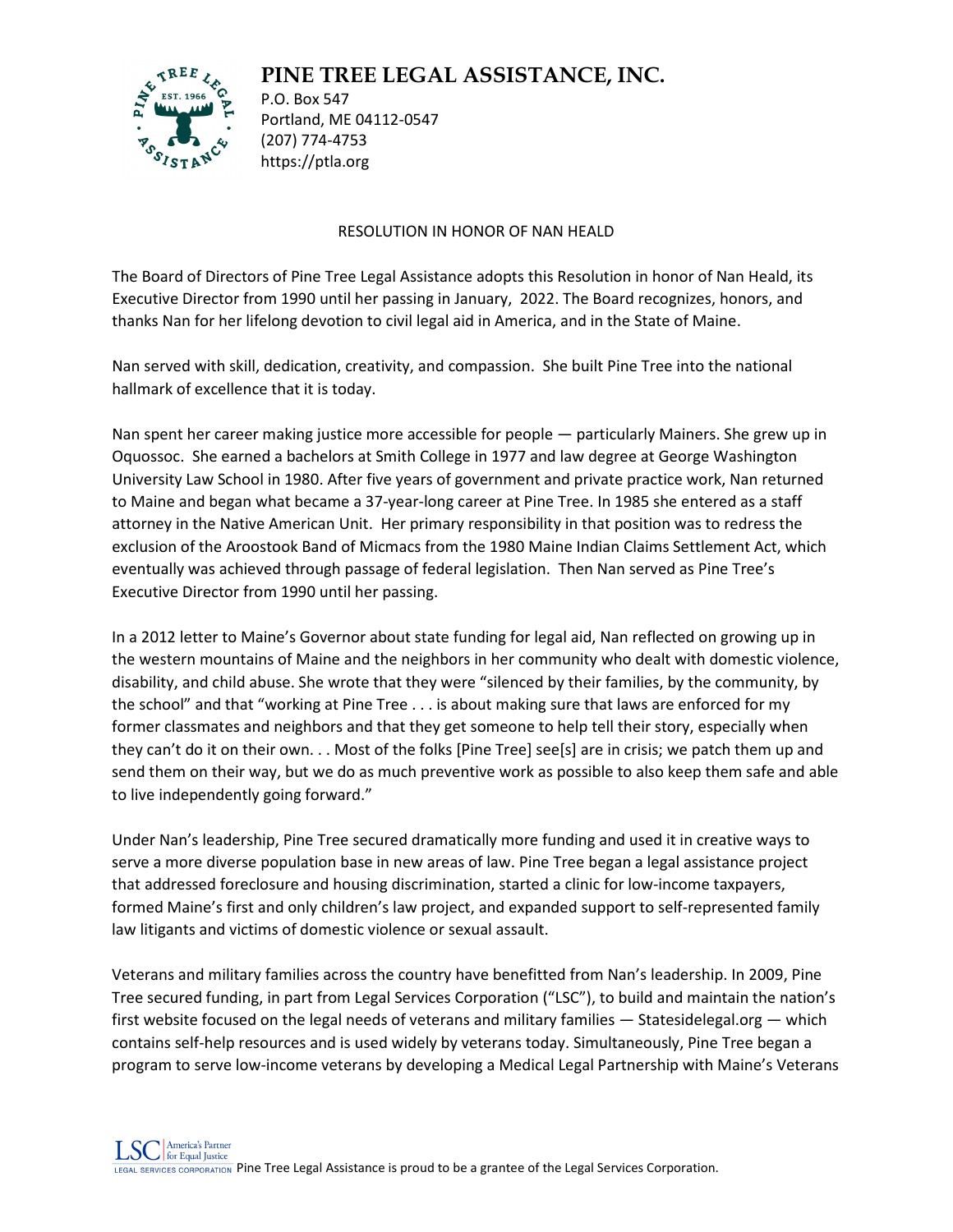## **PINE TREE LEGAL ASSISTANCE, INC.**



P.O. Box 547 Portland, ME 04112-0547 (207) 774-4753 https://ptla.org

## RESOLUTION IN HONOR OF NAN HEALD

The Board of Directors of Pine Tree Legal Assistance adopts this Resolution in honor of Nan Heald, its Executive Director from 1990 until her passing in January, 2022. The Board recognizes, honors, and thanks Nan for her lifelong devotion to civil legal aid in America, and in the State of Maine.

Nan served with skill, dedication, creativity, and compassion. She built Pine Tree into the national hallmark of excellence that it is today.

Nan spent her career making justice more accessible for people — particularly Mainers. She grew up in Oquossoc. She earned a bachelors at Smith College in 1977 and law degree at George Washington University Law School in 1980. After five years of government and private practice work, Nan returned to Maine and began what became a 37-year-long career at Pine Tree. In 1985 she entered as a staff attorney in the Native American Unit. Her primary responsibility in that position was to redress the exclusion of the Aroostook Band of Micmacs from the 1980 Maine Indian Claims Settlement Act, which eventually was achieved through passage of federal legislation. Then Nan served as Pine Tree's Executive Director from 1990 until her passing.

In a 2012 letter to Maine's Governor about state funding for legal aid, Nan reflected on growing up in the western mountains of Maine and the neighbors in her community who dealt with domestic violence, disability, and child abuse. She wrote that they were "silenced by their families, by the community, by the school" and that "working at Pine Tree . . . is about making sure that laws are enforced for my former classmates and neighbors and that they get someone to help tell their story, especially when they can't do it on their own. . . Most of the folks [Pine Tree] see[s] are in crisis; we patch them up and send them on their way, but we do as much preventive work as possible to also keep them safe and able to live independently going forward."

Under Nan's leadership, Pine Tree secured dramatically more funding and used it in creative ways to serve a more diverse population base in new areas of law. Pine Tree began a legal assistance project that addressed foreclosure and housing discrimination, started a clinic for low-income taxpayers, formed Maine's first and only children's law project, and expanded support to self-represented family law litigants and victims of domestic violence or sexual assault.

Veterans and military families across the country have benefitted from Nan's leadership. In 2009, Pine Tree secured funding, in part from Legal Services Corporation ("LSC"), to build and maintain the nation's first website focused on the legal needs of veterans and military families — Statesidelegal.org — which contains self-help resources and is used widely by veterans today. Simultaneously, Pine Tree began a program to serve low-income veterans by developing a Medical Legal Partnership with Maine's Veterans